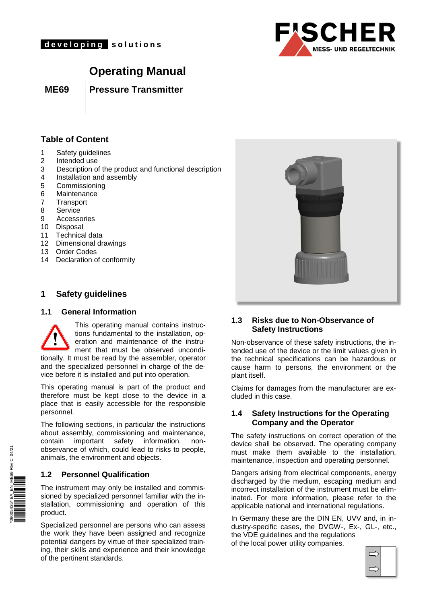

# **Operating Manual**

**ME69 Pressure Transmitter**

### **Table of Content**

- 1 Safety guidelines
- 2 Intended use
- 3 Description of the product and functional description
- 4 Installation and assembly
- 5 Commissioning
- 6 Maintenance
- 7 Transport
- 8 Service
- 9 Accessories
- 10 Disposal
- 11 Technical data
- 12 Dimensional drawings
- 13 Order Codes
- 14 Declaration of conformity

## **1 Safety guidelines**

#### **1.1 General Information**



tionally. It must be read by the assembler, operator and the specialized personnel in charge of the device before it is installed and put into operation.

This operating manual is part of the product and therefore must be kept close to the device in a place that is easily accessible for the responsible personnel.

The following sections, in particular the instructions about assembly, commissioning and maintenance, contain important safety information, nonobservance of which, could lead to risks to people, animals, the environment and objects.

#### **1.2 Personnel Qualification**

The instrument may only be installed and commissioned by specialized personnel familiar with the installation, commissioning and operation of this product.

Specialized personnel are persons who can assess the work they have been assigned and recognize potential dangers by virtue of their specialized training, their skills and experience and their knowledge of the pertinent standards.



#### **1.3 Risks due to Non-Observance of Safety Instructions**

Non-observance of these safety instructions, the intended use of the device or the limit values given in the technical specifications can be hazardous or cause harm to persons, the environment or the plant itself.

Claims for damages from the manufacturer are excluded in this case.

#### **1.4 Safety Instructions for the Operating Company and the Operator**

The safety instructions on correct operation of the device shall be observed. The operating company must make them available to the installation, maintenance, inspection and operating personnel.

Dangers arising from electrical components, energy discharged by the medium, escaping medium and incorrect installation of the instrument must be eliminated. For more information, please refer to the applicable national and international regulations.

In Germany these are the DIN EN, UVV and, in industry-specific cases, the DVGW-, Ex-, GL-, etc., the VDE guidelines and the regulations of the local power utility companies.

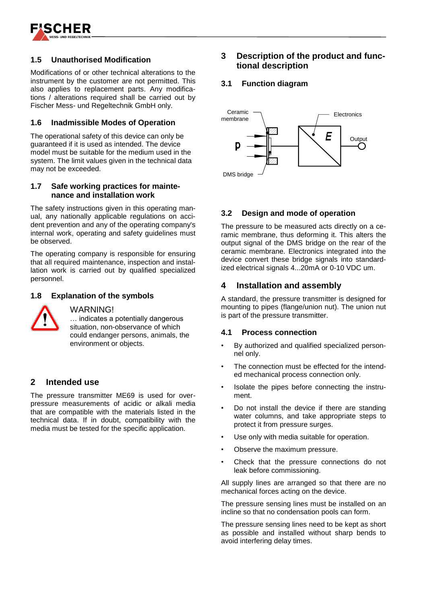

### **1.5 Unauthorised Modification**

Modifications of or other technical alterations to the instrument by the customer are not permitted. This also applies to replacement parts. Any modifications / alterations required shall be carried out by Fischer Mess- und Regeltechnik GmbH only.

#### **1.6 Inadmissible Modes of Operation**

The operational safety of this device can only be guaranteed if it is used as intended. The device model must be suitable for the medium used in the system. The limit values given in the technical data may not be exceeded.

#### **1.7 Safe working practices for maintenance and installation work**

The safety instructions given in this operating manual, any nationally applicable regulations on accident prevention and any of the operating company's internal work, operating and safety guidelines must be observed.

The operating company is responsible for ensuring that all required maintenance, inspection and installation work is carried out by qualified specialized personnel.

#### **1.8 Explanation of the symbols**

#### WARNING!

… indicates a potentially dangerous situation, non-observance of which could endanger persons, animals, the environment or objects.

#### **2 Intended use**

The pressure transmitter ME69 is used for overpressure measurements of acidic or alkali media that are compatible with the materials listed in the technical data. If in doubt, compatibility with the media must be tested for the specific application.

## **3 Description of the product and functional description**

#### **3.1 Function diagram**



#### **3.2 Design and mode of operation**

The pressure to be measured acts directly on a ceramic membrane, thus deforming it. This alters the output signal of the DMS bridge on the rear of the ceramic membrane. Electronics integrated into the device convert these bridge signals into standardized electrical signals 4...20mA or 0-10 VDC um.

#### **4 Installation and assembly**

A standard, the pressure transmitter is designed for mounting to pipes (flange/union nut). The union nut is part of the pressure transmitter.

#### **4.1 Process connection**

- By authorized and qualified specialized personnel only.
- The connection must be effected for the intended mechanical process connection only.
- Isolate the pipes before connecting the instrument.
- Do not install the device if there are standing water columns, and take appropriate steps to protect it from pressure surges.
- Use only with media suitable for operation.
- Observe the maximum pressure.
- Check that the pressure connections do not leak before commissioning.

All supply lines are arranged so that there are no mechanical forces acting on the device.

The pressure sensing lines must be installed on an incline so that no condensation pools can form.

The pressure sensing lines need to be kept as short as possible and installed without sharp bends to avoid interfering delay times.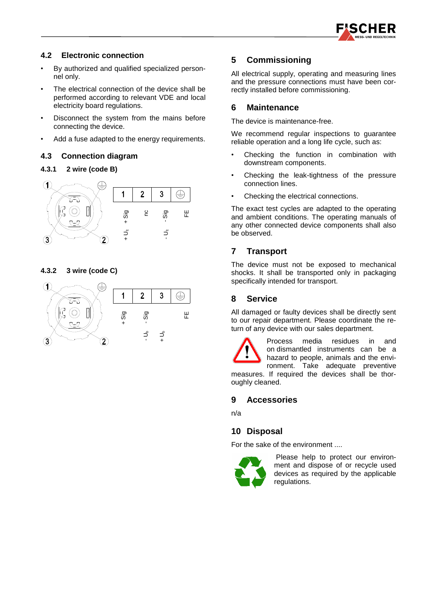

### **4.2 Electronic connection**

- By authorized and qualified specialized personnel only.
- The electrical connection of the device shall be performed according to relevant VDE and local electricity board regulations.
- Disconnect the system from the mains before connecting the device.
- Add a fuse adapted to the energy requirements.

#### **4.3 Connection diagram**

#### **4.3.1 2 wire (code B)**



**4.3.2 3 wire (code C)** 



### **5 Commissioning**

All electrical supply, operating and measuring lines and the pressure connections must have been correctly installed before commissioning.

#### **6 Maintenance**

The device is maintenance-free.

We recommend regular inspections to guarantee reliable operation and a long life cycle, such as:

- Checking the function in combination with downstream components.
- Checking the leak-tightness of the pressure connection lines.
- Checking the electrical connections.

The exact test cycles are adapted to the operating and ambient conditions. The operating manuals of any other connected device components shall also be observed.

## **7 Transport**

The device must not be exposed to mechanical shocks. It shall be transported only in packaging specifically intended for transport.

### **8 Service**

All damaged or faulty devices shall be directly sent to our repair department. Please coordinate the return of any device with our sales department.

Process media residues in and on dismantled instruments can be a hazard to people, animals and the environment. Take adequate preventive measures. If required the devices shall be thoroughly cleaned.

#### **9 Accessories**

n/a

## **10 Disposal**

For the sake of the environment ....



Please help to protect our environment and dispose of or recycle used devices as required by the applicable regulations.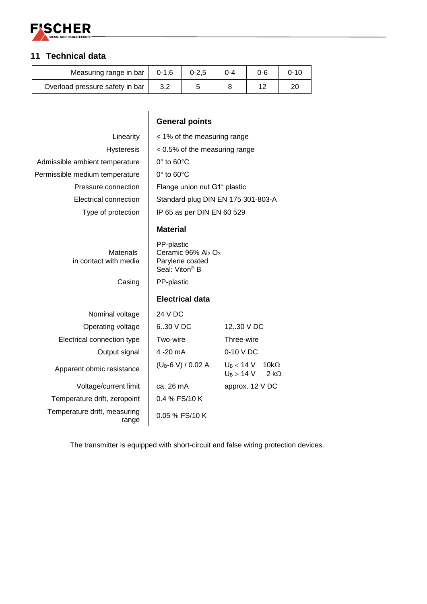

# **11 Technical data**

| Measuring range in bar          | $0 - 1.6$ | $0 - 2,5$ | ገ-4 | 0-6 | ი-10 |
|---------------------------------|-----------|-----------|-----|-----|------|
| Overload pressure safety in bar |           |           |     |     |      |

|                                           | <b>General points</b>                                                                                     |                                                                    |  |  |  |  |
|-------------------------------------------|-----------------------------------------------------------------------------------------------------------|--------------------------------------------------------------------|--|--|--|--|
| Linearity                                 | < 1% of the measuring range                                                                               |                                                                    |  |  |  |  |
| <b>Hysteresis</b>                         | < 0.5% of the measuring range                                                                             |                                                                    |  |  |  |  |
| Admissible ambient temperature            | $0^\circ$ to $60^\circ$ C                                                                                 |                                                                    |  |  |  |  |
| Permissible medium temperature            | $0^\circ$ to $60^\circ$ C                                                                                 |                                                                    |  |  |  |  |
| Pressure connection                       | Flange union nut G1" plastic                                                                              |                                                                    |  |  |  |  |
| Electrical connection                     |                                                                                                           | Standard plug DIN EN 175 301-803-A                                 |  |  |  |  |
| Type of protection                        | IP 65 as per DIN EN 60 529                                                                                |                                                                    |  |  |  |  |
|                                           | <b>Material</b>                                                                                           |                                                                    |  |  |  |  |
| <b>Materials</b><br>in contact with media | PP-plastic<br>Ceramic 96% Al <sub>2</sub> O <sub>3</sub><br>Parylene coated<br>Seal: Viton <sup>®</sup> B |                                                                    |  |  |  |  |
| Casing                                    | PP-plastic                                                                                                |                                                                    |  |  |  |  |
|                                           | <b>Electrical data</b>                                                                                    |                                                                    |  |  |  |  |
| Nominal voltage                           | 24 V DC                                                                                                   |                                                                    |  |  |  |  |
| Operating voltage                         | 630 V DC                                                                                                  | 12.30 V DC                                                         |  |  |  |  |
| Electrical connection type                | Two-wire                                                                                                  | Three-wire                                                         |  |  |  |  |
| Output signal                             | 4 - 20 m A                                                                                                | 0-10 V DC                                                          |  |  |  |  |
| Apparent ohmic resistance                 | $(U_B-6 V) / 0.02 A$                                                                                      | $U_{\rm B}$ $<$ 14 V<br>$10k\Omega$<br>$2 k\Omega$<br>$U_B > 14$ V |  |  |  |  |
| Voltage/current limit                     | ca. 26 mA                                                                                                 | approx. 12 V DC                                                    |  |  |  |  |
| Temperature drift, zeropoint              | 0.4 % FS/10 K                                                                                             |                                                                    |  |  |  |  |
| Temperature drift, measuring<br>range     | 0.05 % FS/10 K                                                                                            |                                                                    |  |  |  |  |

The transmitter is equipped with short-circuit and false wiring protection devices.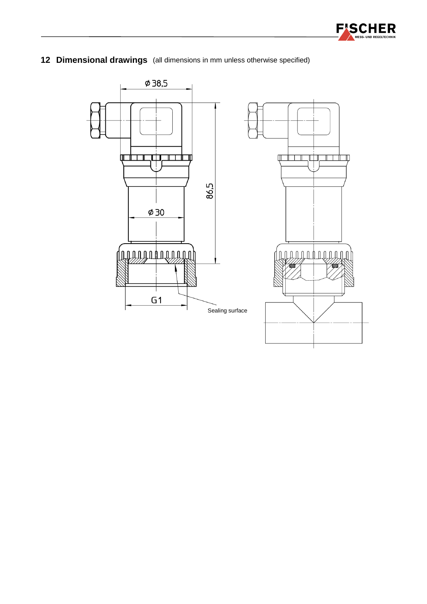

**12 Dimensional drawings** (all dimensions in mm unless otherwise specified)

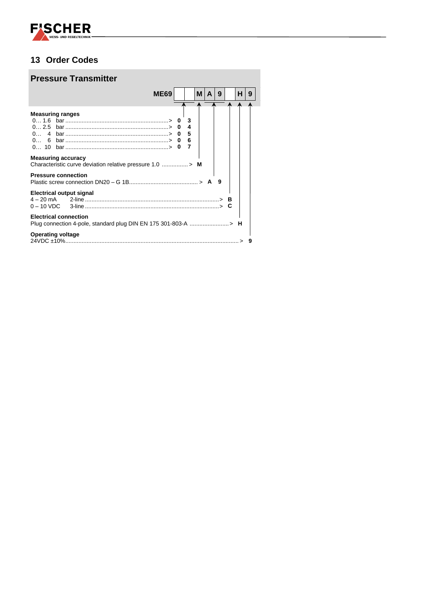

## **13 Order Codes**

# **Pressure Transmitter**

|                              |                                                                | ME69 |             | м | A | 9 | н | 9 |
|------------------------------|----------------------------------------------------------------|------|-------------|---|---|---|---|---|
|                              |                                                                |      |             |   |   |   |   |   |
| <b>Measuring ranges</b>      |                                                                |      | 3<br>4<br>5 |   |   |   |   |   |
| 0 6                          |                                                                |      | 6           |   |   |   |   |   |
| <b>Measuring accuracy</b>    |                                                                |      |             |   |   |   |   |   |
| <b>Pressure connection</b>   |                                                                |      |             |   |   |   |   |   |
| Electrical output signal     |                                                                |      |             |   |   |   |   |   |
| <b>Electrical connection</b> | Plug connection 4-pole, standard plug DIN EN 175 301-803-A > H |      |             |   |   |   |   |   |
| <b>Operating voltage</b>     |                                                                |      |             |   |   |   |   |   |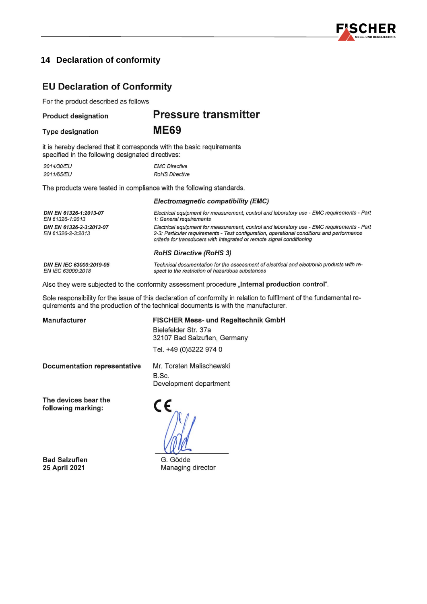

## **14 Declaration of conformity**

## **EU Declaration of Conformity**

For the product described as follows

#### **Product designation**

## **Pressure transmitter**

**Type designation** 

**ME69** 

it is hereby declared that it corresponds with the basic requirements specified in the following designated directives:

2014/30/EU **EMC Directive** 2011/65/EU **RoHS Directive** 

The products were tested in compliance with the following standards.

#### Electromagnetic compatibility (EMC)

Electrical equipment for measurement, control and laboratory use - EMC requirements - Part DIN EN 61326-1:2013-07 EN 61326-1:2013 1: General requirements DIN EN 61326-2-3:2013-07 Electrical equipment for measurement, control and laboratory use - EMC requirements - Part EN 61326-2-3:2013 2-3: Particular requirements - Test configuration, operational conditions and performance criteria for transducers with integrated or remote signal conditioning **RoHS Directive (RoHS 3)** 

spect to the restriction of hazardous substances

DIN EN IEC 63000:2019-05 EN IEC 63000:2018

Also they were subjected to the conformity assessment procedure "Internal production control".

Sole responsibility for the issue of this declaration of conformity in relation to fulfilment of the fundamental requirements and the production of the technical documents is with the manufacturer.

**Manufacturer** 

FISCHER Mess- und Regeltechnik GmbH

Technical documentation for the assessment of electrical and electronic products with re-

Bielefelder Str. 37a 32107 Bad Salzuflen, Germany

Tel. +49 (0)5222 974 0

C E

**Documentation representative** 

Mr. Torsten Malischewski B.Sc. Development department

The devices bear the following marking:

**Bad Salzuflen** 25 April 2021

G. Gödde Managing director